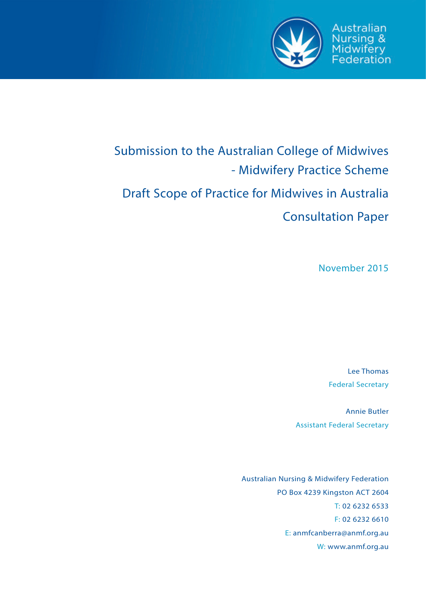

Australian Nursing & Midwifery<br>Federation

# Submission to the Australian College of Midwives - Midwifery Practice Scheme

## Draft Scope of Practice for Midwives in Australia

### Consultation Paper

November 2015

Lee Thomas Federal Secretary

Annie Butler Assistant Federal Secretary

Australian Nursing & Midwifery Federation PO Box 4239 Kingston ACT 2604 T: 02 6232 6533 F: 02 6232 6610 E: anmfcanberra@anmf.org.au W: www.anmf.org.au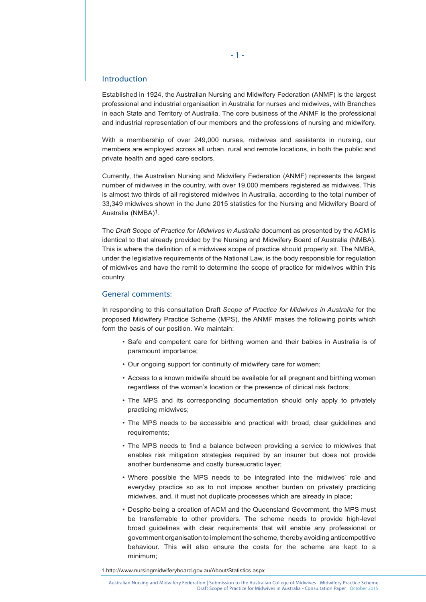#### Introduction

Established in 1924, the Australian Nursing and Midwifery Federation (ANMF) is the largest professional and industrial organisation in Australia for nurses and midwives, with Branches in each State and Territory of Australia. The core business of the ANMF is the professional and industrial representation of our members and the professions of nursing and midwifery.

With a membership of over 249,000 nurses, midwives and assistants in nursing, our members are employed across all urban, rural and remote locations, in both the public and private health and aged care sectors.

Currently, the Australian Nursing and Midwifery Federation (ANMF) represents the largest number of midwives in the country, with over 19,000 members registered as midwives. This is almost two thirds of all registered midwives in Australia, according to the total number of 33,349 midwives shown in the June 2015 statistics for the Nursing and Midwifery Board of Australia (NMBA)1.

The *Draft Scope of Practice for Midwives in Australia* document as presented by the ACM is identical to that already provided by the Nursing and Midwifery Board of Australia (NMBA). This is where the definition of a midwives scope of practice should properly sit. The NMBA, under the legislative requirements of the National Law, is the body responsible for regulation of midwives and have the remit to determine the scope of practice for midwives within this country.

### General comments:

In responding to this consultation Draft *Scope of Practice for Midwives in Australia* for the proposed Midwifery Practice Scheme (MPS), the ANMF makes the following points which form the basis of our position. We maintain:

- Safe and competent care for birthing women and their babies in Australia is of paramount importance;
- Our ongoing support for continuity of midwifery care for women;
- Access to a known midwife should be available for all pregnant and birthing women regardless of the woman's location or the presence of clinical risk factors;
- The MPS and its corresponding documentation should only apply to privately practicing midwives;
- The MPS needs to be accessible and practical with broad, clear guidelines and requirements;
- The MPS needs to find a balance between providing a service to midwives that enables risk mitigation strategies required by an insurer but does not provide another burdensome and costly bureaucratic layer;
- Where possible the MPS needs to be integrated into the midwives' role and everyday practice so as to not impose another burden on privately practicing midwives, and, it must not duplicate processes which are already in place;
- Despite being a creation of ACM and the Queensland Government, the MPS must be transferrable to other providers. The scheme needs to provide high-level broad guidelines with clear requirements that will enable any professional or government organisation to implement the scheme, thereby avoiding anticompetitive behaviour. This will also ensure the costs for the scheme are kept to a minimum;

1.http://www.nursingmidwiferyboard.gov.au/About/Statistics.aspx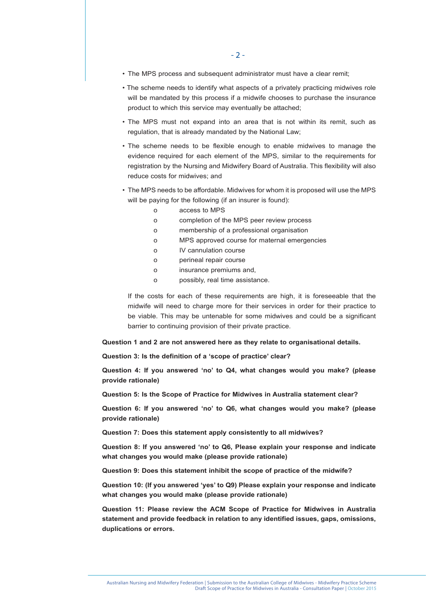- The MPS process and subsequent administrator must have a clear remit;
- The scheme needs to identify what aspects of a privately practicing midwives role will be mandated by this process if a midwife chooses to purchase the insurance product to which this service may eventually be attached;
- The MPS must not expand into an area that is not within its remit, such as regulation, that is already mandated by the National Law;
- The scheme needs to be flexible enough to enable midwives to manage the evidence required for each element of the MPS, similar to the requirements for registration by the Nursing and Midwifery Board of Australia. This flexibility will also reduce costs for midwives; and
- The MPS needs to be affordable. Midwives for whom it is proposed will use the MPS will be paying for the following (if an insurer is found):
	- o access to MPS
	- o completion of the MPS peer review process
	- o membership of a professional organisation
	- o MPS approved course for maternal emergencies
	- o IV cannulation course
	- o perineal repair course
	- o insurance premiums and,
	- o possibly, real time assistance.

 If the costs for each of these requirements are high, it is foreseeable that the midwife will need to charge more for their services in order for their practice to be viable. This may be untenable for some midwives and could be a significant barrier to continuing provision of their private practice.

#### **Question 1 and 2 are not answered here as they relate to organisational details.**

**Question 3: Is the definition of a 'scope of practice' clear?**

**Question 4: If you answered 'no' to Q4, what changes would you make? (please provide rationale)** 

**Question 5: Is the Scope of Practice for Midwives in Australia statement clear?**

**Question 6: If you answered 'no' to Q6, what changes would you make? (please provide rationale)**

**Question 7: Does this statement apply consistently to all midwives?**

**Question 8: If you answered 'no' to Q6, Please explain your response and indicate what changes you would make (please provide rationale)**

**Question 9: Does this statement inhibit the scope of practice of the midwife?** 

**Question 10: (If you answered 'yes' to Q9) Please explain your response and indicate what changes you would make (please provide rationale)**

**Question 11: Please review the ACM Scope of Practice for Midwives in Australia statement and provide feedback in relation to any identified issues, gaps, omissions, duplications or errors.**